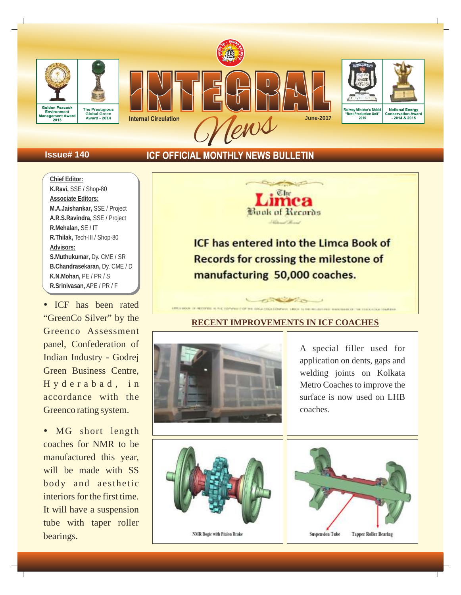

# **Issue# 140**

# **ICF OFFICIAL MONTHLY NEWS BULLETIN**

**Chief Editor: K.Ravi,** SSE / Shop-80 **Associate Editors: M.A.Jaishankar,** SSE / Project **A.R.S.Ravindra,** SSE / Project **R.Mehalan,** SE / IT **R.Thilak,** Tech-III / Shop-80 **Advisors: S.Muthukumar,** Dy. CME / SR **B.Chandrasekaran,** Dy. CME / D **K.N.Mohan,** PE / PR / S **R.Srinivasan,** APE / PR / F

• ICF has been rated "GreenCo Silver" by the Greenco Assessment panel, Confederation of Indian Industry - Godrej Green Business Centre, H y d e r a b a d, in accordance with the Greenco rating system.

• MG short length coaches for NMR to be manufactured this year, will be made with SS body and aesthetic interiors for the first time. It will have a suspension tube with taper roller bearings.



**ICF has entered into the Limca Book of Records for crossing the milestone of** manufacturing 50,000 coaches.

# **RECENT IMPROVEMENTS IN ICF COACHES**

**CONSTRUCTION** THE RESIDENCE IN THE RESIDENCE OF THE RESIDENCE OF



A special filler used for application on dents, gaps and welding joints on Kolkata Metro Coaches to improve the surface is now used on LHB coaches.



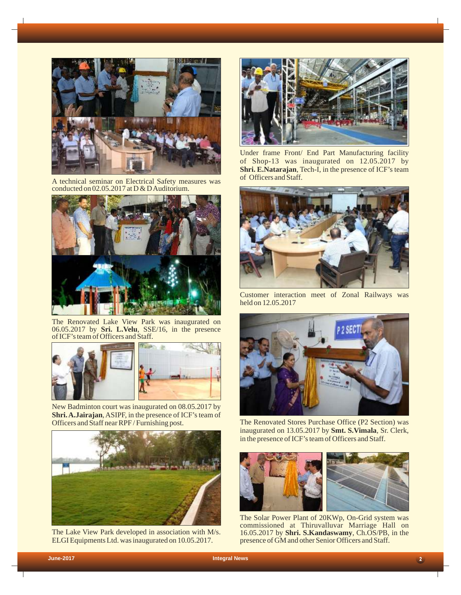

A technical seminar on Electrical Safety measures was conducted on 02.05.2017 at D & D Auditorium.



The Renovated Lake View Park was inaugurated on 06.05.2017 by **Sri. L.Velu**, SSE/16, in the presence of ICF's team of Officers and Staff.



New Badminton court was inaugurated on 08.05.2017 by **Shri. A.Jairajan**, ASIPF, in the presence of ICF's team of Officers and Staff near RPF / Furnishing post.



The Lake View Park developed in association with M/s. ELGI Equipments Ltd. was inaugurated on 10.05.2017.



Under frame Front/ End Part Manufacturing facility of Shop-13 was inaugurated on 12.05.2017 by **Shri. E.Natarajan**, Tech-I, in the presence of ICF's team of Officers and Staff.



Customer interaction meet of Zonal Railways was held on 12.05.2017



The Renovated Stores Purchase Office (P2 Section) was inaugurated on 13.05.2017 by **Smt. S.Vimala**, Sr. Clerk, in the presence of ICF's team of Officers and Staff.



The Solar Power Plant of 20KWp, On-Grid system was commissioned at Thiruvalluvar Marriage Hall on 16.05.2017 by **Shri. S.Kandaswamy**, Ch.OS/PB, in the presence of GM and other Senior Officers and Staff.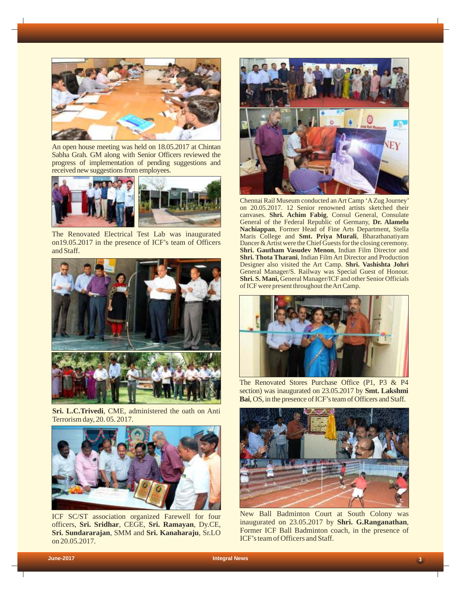

An open house meeting was held on 18.05.2017 at Chintan Sabha Grah. GM along with Senior Officers reviewed the progress of implementation of pending suggestions and received new suggestions from employees.



The Renovated Electrical Test Lab was inaugurated on19.05.2017 in the presence of ICF's team of Officers and Staff.



**Sri. L.C.Trivedi**, CME, administered the oath on Anti Terrorism day, 20. 05. 2017.



ICF SC/ST association organized Farewell for four officers, **Sri. Sridhar**, CEGE, **Sri. Ramayan**, Dy.CE, **Sri. Sundararajan**, SMM and **Sri. Kanaharaju**, Sr.LO on 20.05.2017.



Chennai Rail Museum conducted an Art Camp 'AZug Journey' on 20.05.2017. 12 Senior renowned artists sketched their canvases. **Shri. Achim Fabig**, Consul General, Consulate General of the Federal Republic of Germany, **Dr. Alamelu Nachiappan**, Former Head of Fine Arts Department, Stella Maris College and **Smt. Priya Murali**, Bharathanatiyam Dancer & Artist were the Chief Guests for the closing ceremony. **Shri. Gautham Vasudev Menon**, Indian Film Director and **Shri. Thota Tharani**, Indian Film Art Director and Production Designer also visited the Art Camp. **Shri. Vashishta Johri**  General Manager/S. Railway was Special Guest of Honour. **Shri. S. Mani,** General Manager/ICF and other Senior Officials of ICF were present throughout the Art Camp.



The Renovated Stores Purchase Office (P1, P3 & P4 section) was inaugurated on 23.05.2017 by **Smt. Lakshmi Bai**, OS, in the presence of ICF's team of Officers and Staff.



New Ball Badminton Court at South Colony was inaugurated on 23.05.2017 by **Shri. G.Ranganathan**, Former ICF Ball Badminton coach, in the presence of ICF's team of Officers and Staff.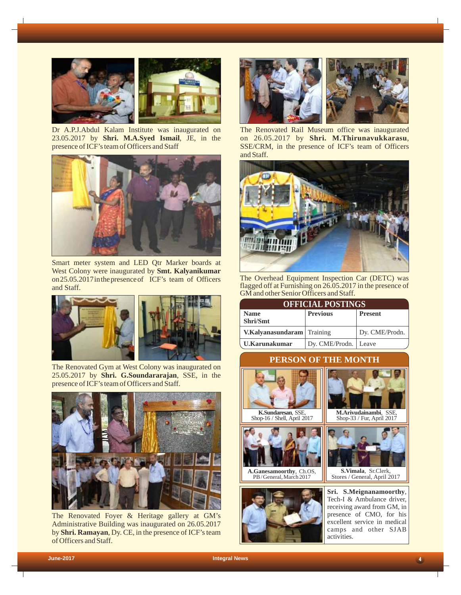

Dr A.P.J.Abdul Kalam Institute was inaugurated on 23.05.2017 by **Shri. M.A.Syed Ismail**, JE, in the presence of ICF's team of Officers and Staff



Smart meter system and LED Qtr Marker boards at West Colony were inaugurated by **Smt. Kalyanikumar** on 25.05.2017 in the presence of ICF's team of Officers and Staff.



The Renovated Gym at West Colony was inaugurated on 25.05.2017 by **Shri. G.Soundararajan**, SSE, in the presence of ICF's team of Officers and Staff.



The Renovated Foyer & Heritage gallery at GM's Administrative Building was inaugurated on 26.05.2017 by **Shri. Ramayan**, Dy. CE, in the presence of ICF's team of Officers and Staff.



The Renovated Rail Museum office was inaugurated on 26.05.2017 by **Shri. M.Thirunavukkarasu**, SSE/CRM, in the presence of ICF's team of Officers and Staff.



The Overhead Equipment Inspection Car (DETC) was flagged off at Furnishing on 26.05.2017 in the presence of GM and other Senior Officers and Staff.

| <b>OFFICIAL POSTINGS</b>          |                        |                |  |  |
|-----------------------------------|------------------------|----------------|--|--|
| <b>Name</b><br>Shri/Smt           | <b>Previous</b>        | <b>Present</b> |  |  |
| <b>V.Kalyanasundaram</b> Training |                        | Dy. CME/Prodn. |  |  |
| . U.Karunakumar                   | Dy. CME/Prodn.   Leave |                |  |  |

# **PERSON OF THE MONTH**



Shop-16 / Shell, April 2017



**A.Ganesamoorthy**, Ch.OS, PB / General, March 2017



**Sri. S.Meignanamoorthy**, **S.Vimala**, Stores / General, April 2017 Sr.Clerk,

**M.Arivudainambi**, SSE, Shop-33 / Fur, April 2017

Tech-I & Ambulance driver, receiving award from GM, in presence of CMO, for his excellent service in medical camps and other SJAB activities.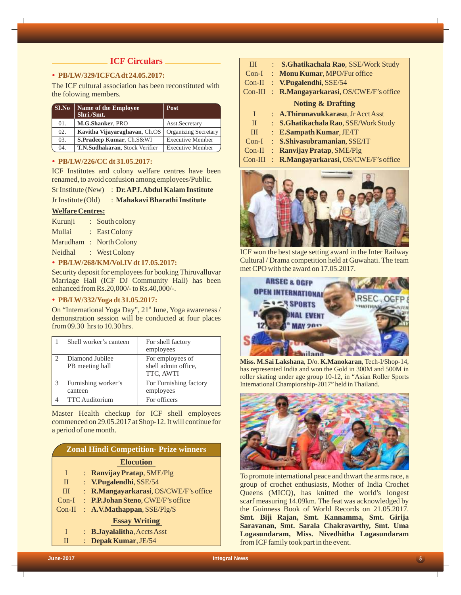### **ICF Circulars**  $\blacksquare$

### Ÿ **PB/LW/329/ICFCAdt 24.05.2017:**

The ICF cultural association has been reconstituted with the folowing members.

| SI.No | <b>Name of the Employee</b><br>Shri./Smt. | <b>Post</b>                 |
|-------|-------------------------------------------|-----------------------------|
| 01.   | M.G.Shanker, PRO                          | Asst.Secretary              |
| 02.   | Kavitha Vijayaraghavan, Ch.OS             | <b>Organizing Secretary</b> |
| 03.   | S.Pradeep Kumar, Ch.S&WI                  | <b>Executive Member</b>     |
| 04.   | T.N.Sudhakaran, Stock Verifier            | <b>Executive Member</b>     |

### Ÿ **PB/LW/226/CC dt 31.05.2017:**

ICF Institutes and colony welfare centres have been renamed, to avoid confusion among employees/Public.

- Sr Institute (New) : **Dr. APJ. Abdul Kalam Institute**
- Jr Institute (Old) : **Mahakavi Bharathi Institute**

### **Welfare Centres:**

- Kurunji : South colony Mullai : East Colony Marudham : North Colony Neidhal : West Colony
- Ÿ **PB/LW/268/KM/Vol.IVdt 17.05.2017:**

Security deposit for employees for booking Thiruvalluvar Marriage Hall (ICF DJ Community Hall) has been enhanced from Rs.20,000/- to Rs.40,000/-.

#### Ÿ **PB/LW/332/Yoga dt 31.05.2017:**

On "International Yoga Day", 21<sup>st</sup> June, Yoga awareness / demonstration session will be conducted at four places from 09.30 hrs to 10.30 hrs.

|   | Shell worker's canteen             | For shell factory<br>employees                       |
|---|------------------------------------|------------------------------------------------------|
| 2 | Diamond Jubilee<br>PB meeting hall | For employees of<br>shell admin office,<br>TTC, AWTI |
| 3 | Furnishing worker's<br>canteen     | For Furnishing factory<br>employees                  |
|   | <b>TTC</b> Auditorium              | For officers                                         |

Master Health checkup for ICF shell employees commenced on 29.05.2017 at Shop-12. It will continue for a period of one month.

|              | <b>Zonal Hindi Competition- Prize winners</b>  |
|--------------|------------------------------------------------|
|              | <b>Elocution</b>                               |
| I            | : Ranvijay Pratap, SME/Plg                     |
| $\mathbf{H}$ | : V.Pugalendhi, SSE/54                         |
| III          | : R.Mangayarkarasi, OS/CWE/F's office          |
| $Con-I$      | : P.P.Johan Steno, CWE/F's office              |
| $Con-II$     | : $A.V. Mathappan, SSE/PIg/S$                  |
|              | <b>Essay Writing</b>                           |
|              | $\therefore$ <b>B. Jayalalitha, Accts Asst</b> |

| П |  | Depak Kumar, JE/54 |  |
|---|--|--------------------|--|
|---|--|--------------------|--|

| III          | $\mathbb{R}^n$ | S.Ghatikachala Rao, SSE/Work Study    |
|--------------|----------------|---------------------------------------|
|              |                | Con-I: Monu Kumar, MPO/Fur office     |
|              |                | Con-II : V.Pugalendhi, SSE/54         |
| $Con-III$    |                | : R.Mangayarkarasi, OS/CWE/F's office |
|              |                | <b>Noting &amp; Drafting</b>          |
| L            |                | : A.Thirunavukkarasu, Jr Acct Asst    |
| $\mathbf{H}$ |                | : S.Ghatikachala Rao, SSE/Work Study  |
| III          |                | $\therefore$ E.Sampath Kumar, JE/IT   |
| $Con-I$      |                | : S.Shivasubramanian, SSE/IT          |
| $Con-II$     |                | : Ranvijay Pratap, SME/Plg            |
| $Con-III$    |                | : R.Mangayarkarasi, OS/CWE/F's office |



ICF won the best stage setting award in the Inter Railway Cultural / Drama competition held at Guwahati. The team met CPO with the award on 17.05.2017.



**Miss. M.Sai Lakshana**, D/o. **K.Manokaran**, Tech-I/Shop-14, has represented India and won the Gold in 300M and 500M in roller skating under age group 10-12, in "Asian Roller Sports International Championship-2017" held in Thailand.



To promote international peace and thwart the arms race, a group of crochet enthusiasts, Mother of India Crochet Queens (MICQ), has knitted the world's longest scarf measuring 14.09km. The feat was acknowledged by the Guinness Book of World Records on 21.05.2017. **Smt. Biji Rajan, Smt. Kannamma, Smt. Girija Saravanan, Smt. Sarala Chakravarthy, Smt. Uma Logasundaram, Miss. Nivedhitha Logasundaram** from ICF family took part in the event.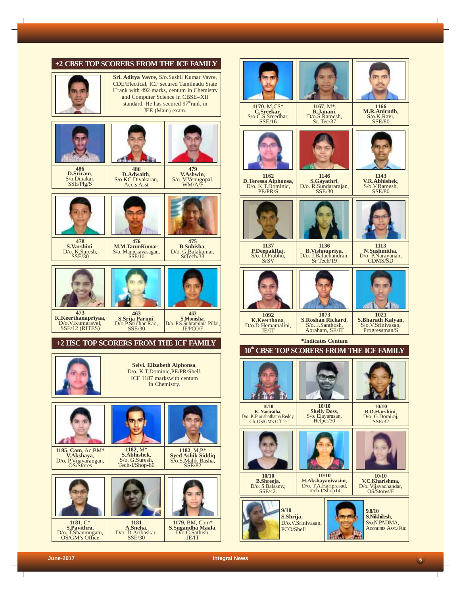

 $6<sup>1</sup>$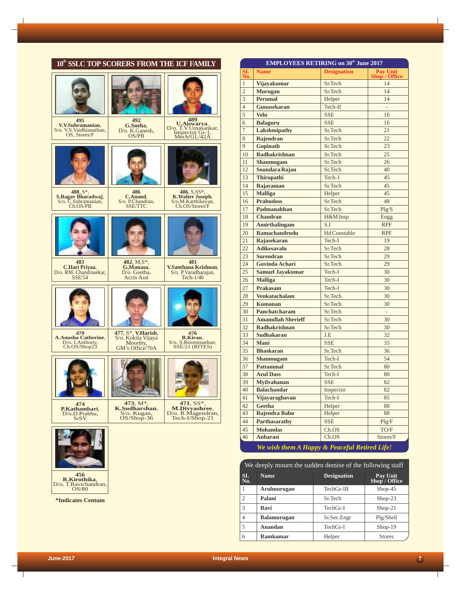|                                                                      | 10 <sup>th</sup> SSLC TOP SCORERS FROM THE ICF FAMILY                                  |                                                                         |
|----------------------------------------------------------------------|----------------------------------------------------------------------------------------|-------------------------------------------------------------------------|
|                                                                      |                                                                                        | 489                                                                     |
| 495<br>V.V.Subramanian,<br>S/o. V.S. Vaidhianathan, OS, Stores/F     | 492<br>G.Sneha,<br>D/o. K.Ganesh,<br>OS/PB                                             | U.Aiswarya,<br>D/o. T.V.Umasankar,<br>Inspector Gr-1,<br>Mech/GL/42A    |
|                                                                      |                                                                                        |                                                                         |
| 488, S*,<br>S.Ragav Bharadwaj,<br>S/o. C.Subramanian,<br>Ch.OS/PB    | 486<br>C.Anand.<br>S/o. P.Chandran,<br>SSE/TTC                                         | 486, S,SS*,<br>K.Walter Joseph,<br>S/o.M.Karthikeyan,<br>Ch.OS/Stores/F |
| 483                                                                  | 482, M,S*,                                                                             | 481                                                                     |
| C.Hari Priyaa,<br>D/o. RM. Chandrasekar,<br><b>SSE/54</b>            | G.Manasa,<br>$D$ /o. Geetha,<br><b>Accts Asst</b>                                      | V.Santhana Krishnan,<br>S/o. P. Varadharajan,<br>Tech-1/40              |
|                                                                      |                                                                                        |                                                                         |
| 479<br><b>A.Anusha Catherine.</b><br>D/o. I.Anthony,<br>Ch.OS/Shop23 | 477, S <sup>*</sup> , <b>V.Harish</b> , S/o. Kokila Vijaya<br>Moorthy, GM's Office/70A | 476<br><b>B.Kiran.</b><br>S/o. S.Boominathan,<br>SSE/21 (RITES)         |
|                                                                      |                                                                                        |                                                                         |
| 474<br>P.Kathambari.<br>D/o.D.Prabhu,<br><b>SrSV</b>                 | 473, M <sup>*</sup> ,<br>K.Sudharshan,<br>S/o. Kugan,<br>OS/Shop-36                    | 471, SS*,<br>M.Divyashree,<br>D/o. R.Magendran,<br>Tech-I/Shop-21       |
|                                                                      |                                                                                        |                                                                         |
| 456<br>R.Kiruthika,<br>D/o. T.Ravichandran,<br>OS/80                 |                                                                                        |                                                                         |
| <i><b>*Indicates Centum</b></i>                                      |                                                                                        |                                                                         |

|                         | <b>EMPLOYEES RETIRING on 30th June 2017</b>   |                     |                           |  |  |
|-------------------------|-----------------------------------------------|---------------------|---------------------------|--|--|
| SI.<br>No.              | <b>Name</b>                                   | <b>Designation</b>  | Pay Unit<br>Shop / Office |  |  |
| $\mathbf{1}$            | Vijayakumar                                   | Sr.Tech             | 14                        |  |  |
| $\overline{2}$          | <b>Murugan</b>                                | Sr.Tech             | 14                        |  |  |
| $\overline{\mathbf{3}}$ | <b>Perumal</b>                                | Helper              | 14                        |  |  |
| $\overline{4}$          | <b>Gunasekaran</b>                            | Tech-II             |                           |  |  |
| 5                       | <b>Velu</b>                                   | <b>SSE</b>          | 16                        |  |  |
| 6                       | <b>Balaguru</b>                               | <b>SSE</b>          | 16                        |  |  |
| $\overline{7}$          | <b>Lakshmipathy</b>                           | Sr.Tech             | 21                        |  |  |
| 8                       | Rajendran                                     | Sr.Tech             | 22                        |  |  |
| 9                       | <b>Gopinath</b>                               | Sr.Tech             | 23                        |  |  |
| 10                      | <b>Radhakrishnan</b>                          | Sr.Tech             | 25                        |  |  |
| 11                      | Shanmugam                                     | Sr.Tech             | 26                        |  |  |
| 12                      | Soundara Rajan                                | Sr.Tech             | 40                        |  |  |
| 13                      | <b>Thirupathi</b>                             | Tech-1              | 45                        |  |  |
| 14                      | Rajaraman                                     | Sr.Tech             | 45                        |  |  |
| 15                      | <b>Malliga</b>                                | Helper              | 45                        |  |  |
| 16                      | <b>Prabudoss</b>                              | Sr.Tech             | 48                        |  |  |
| 17                      | Padmanabhan                                   | Sr.Tech             | Plg/S                     |  |  |
| 18                      | <b>Chandran</b>                               | H&M Insp            | Engg                      |  |  |
| 19                      | <b>Amirthalingam</b>                          | S.I                 | <b>RPF</b>                |  |  |
| 20                      | Ramachandrudu                                 | <b>Hd Constable</b> | <b>RPF</b>                |  |  |
| 21                      | Rajasekaran                                   | Tech-I              | 19                        |  |  |
| 22                      | <b>Adikesavalu</b>                            | Sr.Tech             | 28                        |  |  |
| 23                      | <b>Surendran</b>                              | Sr.Tech             | 29                        |  |  |
| 24                      | <b>Govinda Achari</b>                         | Sr.Tech             | 29                        |  |  |
| 25                      | <b>Samuel Jayakumar</b>                       | Tech-I              | 30                        |  |  |
| 26                      | <b>Malliga</b>                                | Tech-I              | 30                        |  |  |
| 27                      | <b>Prakasam</b>                               | Tech-I              | 30                        |  |  |
| 28                      | <b>Venkatachalam</b>                          | Sr.Tech             | 30                        |  |  |
| 29                      | <b>Kumanan</b>                                | Sr.Tech             | 30                        |  |  |
| 30                      | <b>Panchatcharam</b>                          | Sr.Tech             | ÷,                        |  |  |
| 31                      | <b>Amanullah Sherieff</b>                     | Sr.Tech             | 30                        |  |  |
| 32                      | <b>Radhakrishnan</b>                          | Sr.Tech             | 30                        |  |  |
| 33                      | <b>Sudhakaran</b>                             | J.E                 | 32                        |  |  |
| 34<br>35                | Mani<br><b>Bhaskaran</b>                      | <b>SSE</b>          | 35<br>36                  |  |  |
|                         |                                               | Sr.Tech             |                           |  |  |
| 36                      | <b>Shanmugam</b><br><b>Pattammal</b>          | Tech-I<br>Sr.Tech   | 54<br>80                  |  |  |
| 37<br>38                | <b>Arul Dass</b>                              | Tech-I              | 80                        |  |  |
| 39                      | <b>Myilvahanan</b>                            | <b>SSE</b>          | 82                        |  |  |
| 40                      | <b>Balachandar</b>                            | Inspector           | 82                        |  |  |
| 41                      | Vijayaraghavan                                | Tech-I              | 85                        |  |  |
| 42                      | <b>Geetha</b>                                 | Helper              | 88                        |  |  |
| 43                      | Rajendra Babu                                 | Helper              | 88                        |  |  |
| 44                      | <b>Parthasarathy</b>                          | <b>SSE</b>          | Plg/F                     |  |  |
| 45                      | <b>Mohandas</b>                               | Ch.OS               | TO/F                      |  |  |
| 46                      | <b>Anbarasi</b>                               | Ch.OS               | Stores/F                  |  |  |
|                         |                                               |                     |                           |  |  |
|                         | We wish them A Happy & Peaceful Retired Life! |                     |                           |  |  |

| We deeply mourn the sudden demise of the following staff |                    |                    |                           |  |
|----------------------------------------------------------|--------------------|--------------------|---------------------------|--|
| SI.<br>No.                                               | <b>Name</b>        | <b>Designation</b> | Pay Unit<br>Shop / Office |  |
|                                                          | Arulmurugan        | TechGr-III         | $Shop-45$                 |  |
| 2                                                        | Palani             | Sr.Tech            | $Shop-23$                 |  |
| $\mathcal{R}$                                            | Ravi               | TechGr-I           | $Shop-21$                 |  |
| 4                                                        | <b>Balamurugan</b> | Sr.Sec.Engr        | Plg/Shell                 |  |
| 5                                                        | Anandan            | TechGr-I           | $Shop-19$                 |  |
| 6                                                        | <b>Ramkumar</b>    | Helper             | <b>Stores</b>             |  |

 $\mathbf{I}$ 

 $\sqrt{2}$